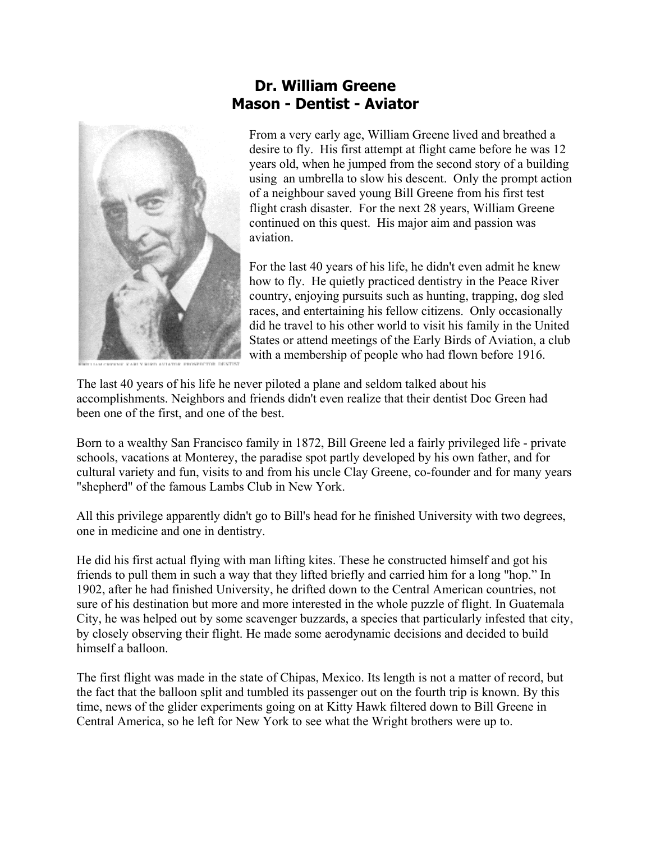

## **Dr. William Greene Mason - Dentist - Aviator**

From a very early age, William Greene lived and breathed a desire to fly. His first attempt at flight came before he was 12 years old, when he jumped from the second story of a building using an umbrella to slow his descent. Only the prompt action of a neighbour saved young Bill Greene from his first test flight crash disaster. For the next 28 years, William Greene continued on this quest. His major aim and passion was aviation.

For the last 40 years of his life, he didn't even admit he knew how to fly. He quietly practiced dentistry in the Peace River country, enjoying pursuits such as hunting, trapping, dog sled races, and entertaining his fellow citizens. Only occasionally did he travel to his other world to visit his family in the United States or attend meetings of the Early Birds of Aviation, a club with a membership of people who had flown before 1916.

The last 40 years of his life he never piloted a plane and seldom talked about his accomplishments. Neighbors and friends didn't even realize that their dentist Doc Green had been one of the first, and one of the best.

Born to a wealthy San Francisco family in 1872, Bill Greene led a fairly privileged life - private schools, vacations at Monterey, the paradise spot partly developed by his own father, and for cultural variety and fun, visits to and from his uncle Clay Greene, co-founder and for many years "shepherd" of the famous Lambs Club in New York.

All this privilege apparently didn't go to Bill's head for he finished University with two degrees, one in medicine and one in dentistry.

He did his first actual flying with man lifting kites. These he constructed himself and got his friends to pull them in such a way that they lifted briefly and carried him for a long "hop." In 1902, after he had finished University, he drifted down to the Central American countries, not sure of his destination but more and more interested in the whole puzzle of flight. In Guatemala City, he was helped out by some scavenger buzzards, a species that particularly infested that city, by closely observing their flight. He made some aerodynamic decisions and decided to build himself a balloon.

The first flight was made in the state of Chipas, Mexico. Its length is not a matter of record, but the fact that the balloon split and tumbled its passenger out on the fourth trip is known. By this time, news of the glider experiments going on at Kitty Hawk filtered down to Bill Greene in Central America, so he left for New York to see what the Wright brothers were up to.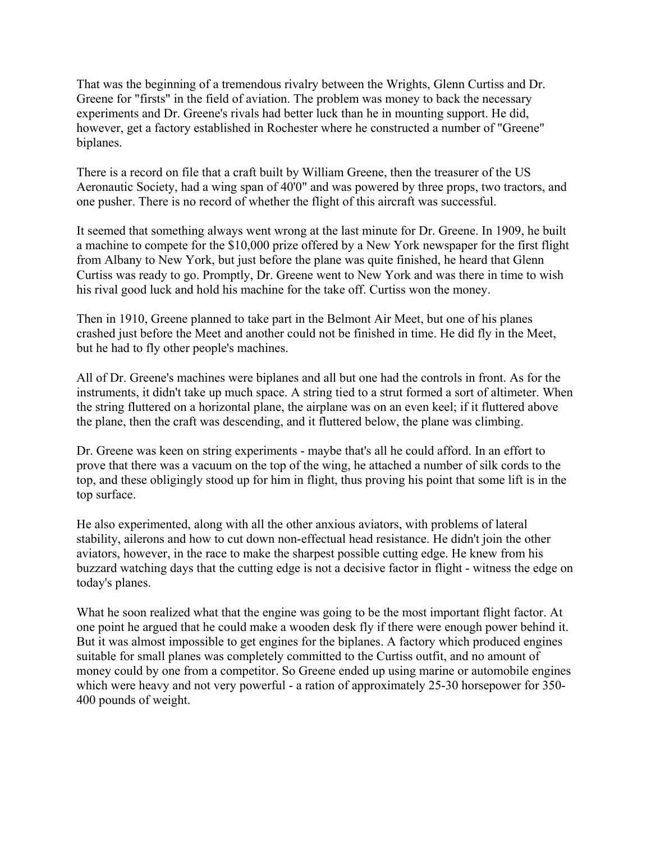That was the beginning of a tremendous rivalry between the Wrights, Glenn Curtiss and Dr. Greene for "firsts" in the field of aviation. The problem was money to back the necessary experiments and Dr. Greene's rivals had better luck than he in mounting support. He did, however, get a factory established in Rochester where he constructed a number of "Greene" biplanes.

There is a record on file that a craft built by William Greene, then the treasurer of the US Aeronautic Society, had a wing span of 40'0" and was powered by three props, two tractors, and one pusher. There is no record of whether the flight of this aircraft was successful.

It seemed that something always went wrong at the last minute for Dr. Greene. In 1909, he built a machine to compete for the \$10,000 prize offered by a New York newspaper for the first flight from Albany to New York, but just before the plane was quite finished, he heard that Glenn Curtiss was ready to go. Promptly, Dr. Greene went to New York and was there in time to wish his rival good luck and hold his machine for the take off. Curtiss won the money.

Then in 1910, Greene planned to take part in the Belmont Air Meet, but one of his planes crashed just before the Meet and another could not be finished in time. He did fly in the Meet, but he had to fly other people's machines.

All of Dr. Greene's machines were biplanes and all but one had the controls in front. As for the instruments, it didn't take up much space. A string tied to a strut formed a sort of altimeter. When the string fluttered on a horizontal plane, the airplane was on an even keel; if it fluttered above the plane, then the craft was descending, and it fluttered below, the plane was climbing.

Dr. Greene was keen on string experiments - maybe that's all he could afford. In an effort to prove that there was a vacuum on the top of the wing, he attached a number of silk cords to the top, and these obligingly stood up for him in flight, thus proving his point that some lift is in the top surface.

He also experimented, along with all the other anxious aviators, with problems of lateral stability, ailerons and how to cut down non-effectual head resistance. He didn't join the other aviators, however, in the race to make the sharpest possible cutting edge. He knew from his buzzard watching days that the cutting edge is not a decisive factor in flight - witness the edge on today's planes.

What he soon realized what that the engine was going to be the most important flight factor. At one point he argued that he could make a wooden desk fly if there were enough power behind it. But it was almost impossible to get engines for the biplanes. A factory which produced engines suitable for small planes was completely committed to the Curtiss outfit, and no amount of money could by one from a competitor. So Greene ended up using marine or automobile engines which were heavy and not very powerful - a ration of approximately 25-30 horsepower for 350- 400 pounds of weight.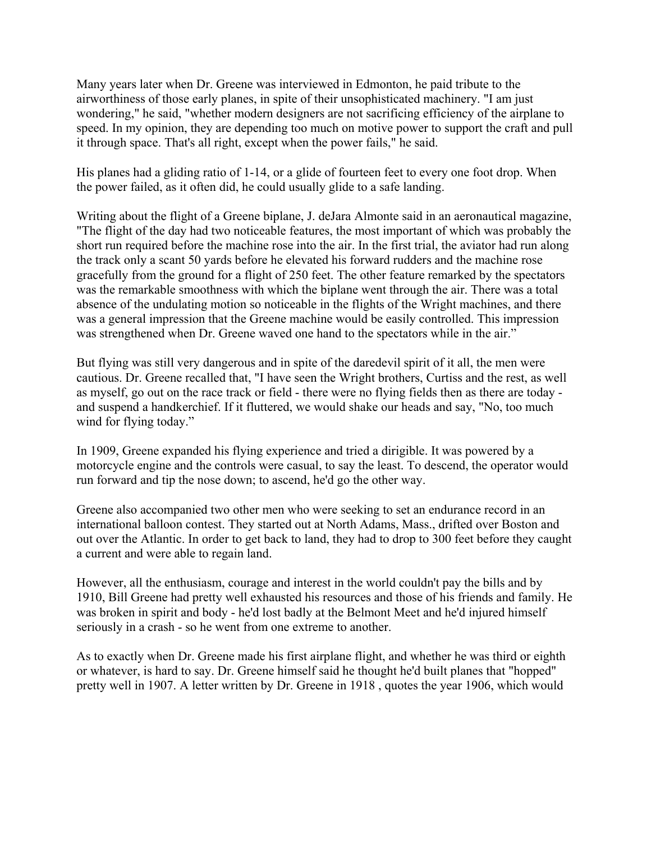Many years later when Dr. Greene was interviewed in Edmonton, he paid tribute to the airworthiness of those early planes, in spite of their unsophisticated machinery. "I am just wondering," he said, "whether modern designers are not sacrificing efficiency of the airplane to speed. In my opinion, they are depending too much on motive power to support the craft and pull it through space. That's all right, except when the power fails," he said.

His planes had a gliding ratio of 1-14, or a glide of fourteen feet to every one foot drop. When the power failed, as it often did, he could usually glide to a safe landing.

Writing about the flight of a Greene biplane, J. deJara Almonte said in an aeronautical magazine, "The flight of the day had two noticeable features, the most important of which was probably the short run required before the machine rose into the air. In the first trial, the aviator had run along the track only a scant 50 yards before he elevated his forward rudders and the machine rose gracefully from the ground for a flight of 250 feet. The other feature remarked by the spectators was the remarkable smoothness with which the biplane went through the air. There was a total absence of the undulating motion so noticeable in the flights of the Wright machines, and there was a general impression that the Greene machine would be easily controlled. This impression was strengthened when Dr. Greene waved one hand to the spectators while in the air."

But flying was still very dangerous and in spite of the daredevil spirit of it all, the men were cautious. Dr. Greene recalled that, "I have seen the Wright brothers, Curtiss and the rest, as well as myself, go out on the race track or field - there were no flying fields then as there are today and suspend a handkerchief. If it fluttered, we would shake our heads and say, "No, too much wind for flying today."

In 1909, Greene expanded his flying experience and tried a dirigible. It was powered by a motorcycle engine and the controls were casual, to say the least. To descend, the operator would run forward and tip the nose down; to ascend, he'd go the other way.

Greene also accompanied two other men who were seeking to set an endurance record in an international balloon contest. They started out at North Adams, Mass., drifted over Boston and out over the Atlantic. In order to get back to land, they had to drop to 300 feet before they caught a current and were able to regain land.

However, all the enthusiasm, courage and interest in the world couldn't pay the bills and by 1910, Bill Greene had pretty well exhausted his resources and those of his friends and family. He was broken in spirit and body - he'd lost badly at the Belmont Meet and he'd injured himself seriously in a crash - so he went from one extreme to another.

As to exactly when Dr. Greene made his first airplane flight, and whether he was third or eighth or whatever, is hard to say. Dr. Greene himself said he thought he'd built planes that "hopped" pretty well in 1907. A letter written by Dr. Greene in 1918 , quotes the year 1906, which would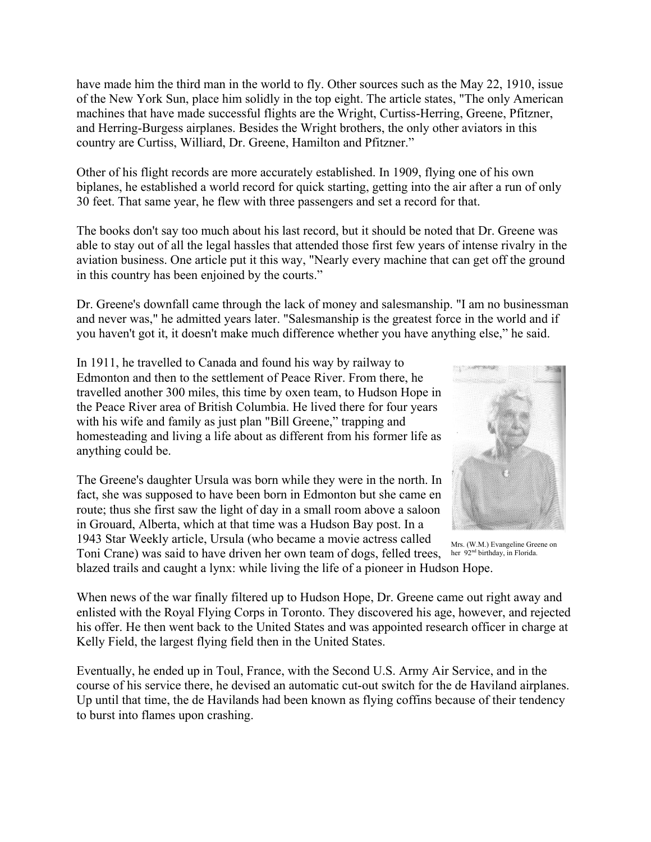have made him the third man in the world to fly. Other sources such as the May 22, 1910, issue of the New York Sun, place him solidly in the top eight. The article states, "The only American machines that have made successful flights are the Wright, Curtiss-Herring, Greene, Pfitzner, and Herring-Burgess airplanes. Besides the Wright brothers, the only other aviators in this country are Curtiss, Williard, Dr. Greene, Hamilton and Pfitzner."

Other of his flight records are more accurately established. In 1909, flying one of his own biplanes, he established a world record for quick starting, getting into the air after a run of only 30 feet. That same year, he flew with three passengers and set a record for that.

The books don't say too much about his last record, but it should be noted that Dr. Greene was able to stay out of all the legal hassles that attended those first few years of intense rivalry in the aviation business. One article put it this way, "Nearly every machine that can get off the ground in this country has been enjoined by the courts."

Dr. Greene's downfall came through the lack of money and salesmanship. "I am no businessman and never was," he admitted years later. "Salesmanship is the greatest force in the world and if you haven't got it, it doesn't make much difference whether you have anything else," he said.

In 1911, he travelled to Canada and found his way by railway to Edmonton and then to the settlement of Peace River. From there, he travelled another 300 miles, this time by oxen team, to Hudson Hope in the Peace River area of British Columbia. He lived there for four years with his wife and family as just plan "Bill Greene," trapping and homesteading and living a life about as different from his former life as anything could be.

The Greene's daughter Ursula was born while they were in the north. In fact, she was supposed to have been born in Edmonton but she came en route; thus she first saw the light of day in a small room above a saloon in Grouard, Alberta, which at that time was a Hudson Bay post. In a 1943 Star Weekly article, Ursula (who became a movie actress called Toni Crane) was said to have driven her own team of dogs, felled trees, her 92<sup>nd birthday, in Florida.</sup>



blazed trails and caught a lynx: while living the life of a pioneer in Hudson Hope. Mrs. (W.M.) Evangeline Greene on

When news of the war finally filtered up to Hudson Hope, Dr. Greene came out right away and enlisted with the Royal Flying Corps in Toronto. They discovered his age, however, and rejected his offer. He then went back to the United States and was appointed research officer in charge at Kelly Field, the largest flying field then in the United States.

Eventually, he ended up in Toul, France, with the Second U.S. Army Air Service, and in the course of his service there, he devised an automatic cut-out switch for the de Haviland airplanes. Up until that time, the de Havilands had been known as flying coffins because of their tendency to burst into flames upon crashing.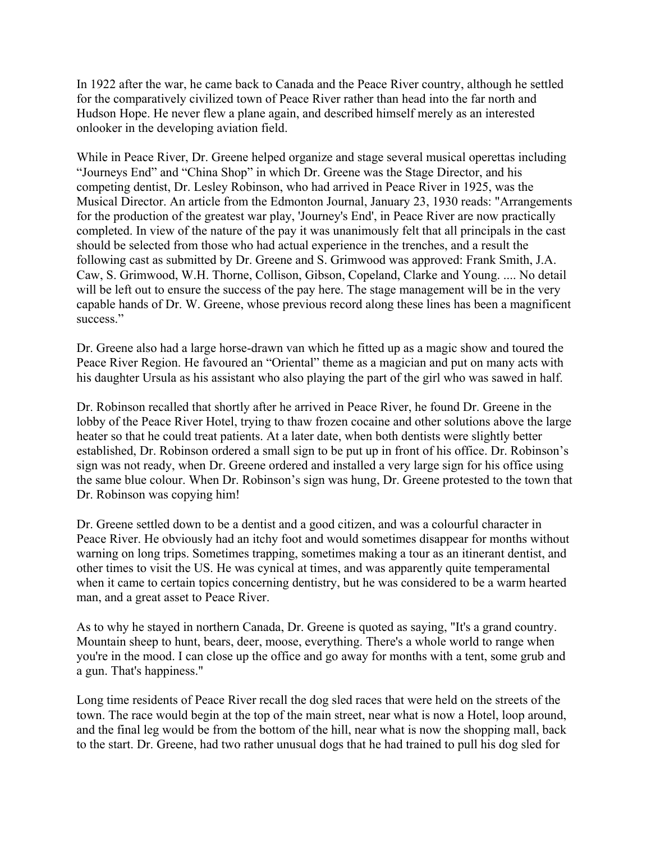In 1922 after the war, he came back to Canada and the Peace River country, although he settled for the comparatively civilized town of Peace River rather than head into the far north and Hudson Hope. He never flew a plane again, and described himself merely as an interested onlooker in the developing aviation field.

While in Peace River, Dr. Greene helped organize and stage several musical operettas including "Journeys End" and "China Shop" in which Dr. Greene was the Stage Director, and his competing dentist, Dr. Lesley Robinson, who had arrived in Peace River in 1925, was the Musical Director. An article from the Edmonton Journal, January 23, 1930 reads: "Arrangements for the production of the greatest war play, 'Journey's End', in Peace River are now practically completed. In view of the nature of the pay it was unanimously felt that all principals in the cast should be selected from those who had actual experience in the trenches, and a result the following cast as submitted by Dr. Greene and S. Grimwood was approved: Frank Smith, J.A. Caw, S. Grimwood, W.H. Thorne, Collison, Gibson, Copeland, Clarke and Young. .... No detail will be left out to ensure the success of the pay here. The stage management will be in the very capable hands of Dr. W. Greene, whose previous record along these lines has been a magnificent success."

Dr. Greene also had a large horse-drawn van which he fitted up as a magic show and toured the Peace River Region. He favoured an "Oriental" theme as a magician and put on many acts with his daughter Ursula as his assistant who also playing the part of the girl who was sawed in half.

Dr. Robinson recalled that shortly after he arrived in Peace River, he found Dr. Greene in the lobby of the Peace River Hotel, trying to thaw frozen cocaine and other solutions above the large heater so that he could treat patients. At a later date, when both dentists were slightly better established, Dr. Robinson ordered a small sign to be put up in front of his office. Dr. Robinson's sign was not ready, when Dr. Greene ordered and installed a very large sign for his office using the same blue colour. When Dr. Robinson's sign was hung, Dr. Greene protested to the town that Dr. Robinson was copying him!

Dr. Greene settled down to be a dentist and a good citizen, and was a colourful character in Peace River. He obviously had an itchy foot and would sometimes disappear for months without warning on long trips. Sometimes trapping, sometimes making a tour as an itinerant dentist, and other times to visit the US. He was cynical at times, and was apparently quite temperamental when it came to certain topics concerning dentistry, but he was considered to be a warm hearted man, and a great asset to Peace River.

As to why he stayed in northern Canada, Dr. Greene is quoted as saying, "It's a grand country. Mountain sheep to hunt, bears, deer, moose, everything. There's a whole world to range when you're in the mood. I can close up the office and go away for months with a tent, some grub and a gun. That's happiness."

Long time residents of Peace River recall the dog sled races that were held on the streets of the town. The race would begin at the top of the main street, near what is now a Hotel, loop around, and the final leg would be from the bottom of the hill, near what is now the shopping mall, back to the start. Dr. Greene, had two rather unusual dogs that he had trained to pull his dog sled for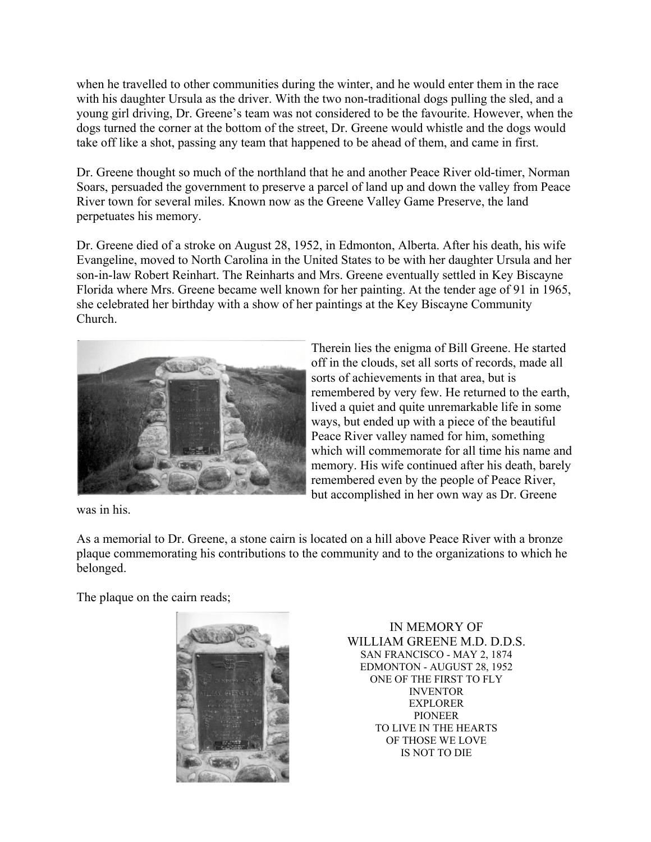when he travelled to other communities during the winter, and he would enter them in the race with his daughter Ursula as the driver. With the two non-traditional dogs pulling the sled, and a young girl driving, Dr. Greene's team was not considered to be the favourite. However, when the dogs turned the corner at the bottom of the street, Dr. Greene would whistle and the dogs would take off like a shot, passing any team that happened to be ahead of them, and came in first.

Dr. Greene thought so much of the northland that he and another Peace River old-timer, Norman Soars, persuaded the government to preserve a parcel of land up and down the valley from Peace River town for several miles. Known now as the Greene Valley Game Preserve, the land perpetuates his memory.

Dr. Greene died of a stroke on August 28, 1952, in Edmonton, Alberta. After his death, his wife Evangeline, moved to North Carolina in the United States to be with her daughter Ursula and her son-in-law Robert Reinhart. The Reinharts and Mrs. Greene eventually settled in Key Biscayne Florida where Mrs. Greene became well known for her painting. At the tender age of 91 in 1965, she celebrated her birthday with a show of her paintings at the Key Biscayne Community Church.



Therein lies the enigma of Bill Greene. He started off in the clouds, set all sorts of records, made all sorts of achievements in that area, but is remembered by very few. He returned to the earth, lived a quiet and quite unremarkable life in some ways, but ended up with a piece of the beautiful Peace River valley named for him, something which will commemorate for all time his name and memory. His wife continued after his death, barely remembered even by the people of Peace River, but accomplished in her own way as Dr. Greene

was in his.

As a memorial to Dr. Greene, a stone cairn is located on a hill above Peace River with a bronze plaque commemorating his contributions to the community and to the organizations to which he belonged.

The plaque on the cairn reads;



IN MEMORY OF WILLIAM GREENE M.D. D.D.S. SAN FRANCISCO - MAY 2, 1874 EDMONTON - AUGUST 28, 1952 ONE OF THE FIRST TO FLY INVENTOR EXPLORER PIONEER TO LIVE IN THE HEARTS OF THOSE WE LOVE IS NOT TO DIE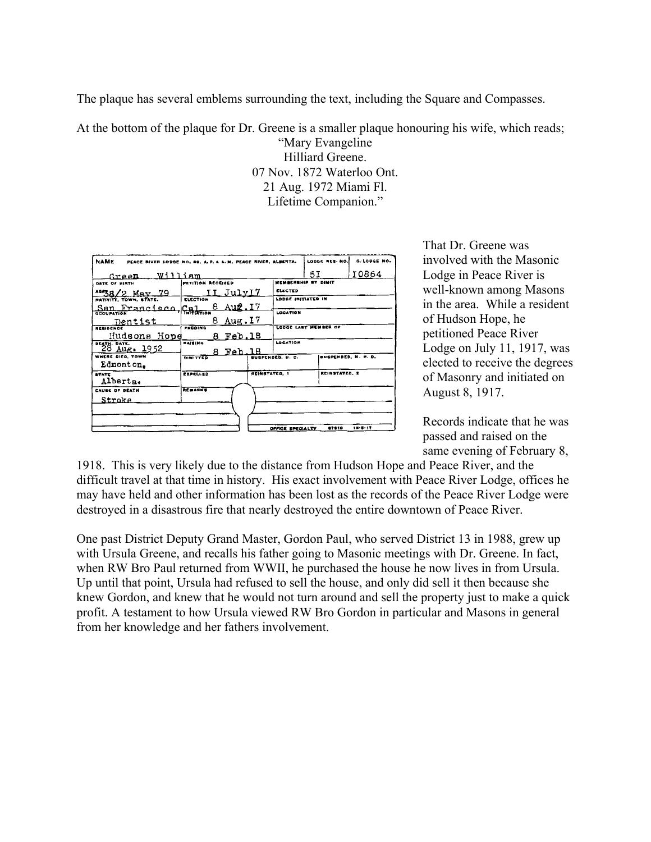The plaque has several emblems surrounding the text, including the Square and Compasses.

At the bottom of the plaque for Dr. Greene is a smaller plaque honouring his wife, which reads;

"Mary Evangeline Hilliard Greene. 07 Nov. 1872 Waterloo Ont. 21 Aug. 1972 Miami Fl. Lifetime Companion."

| <b>NAME</b><br>PEACE RIVER LODGE NO. 69, A. F. & A. M. PEACE RIVER, ALBERTA. |                   |           |                         |                     | LODGE REG. NO.             | C. LODGE NO.  |
|------------------------------------------------------------------------------|-------------------|-----------|-------------------------|---------------------|----------------------------|---------------|
| Green William                                                                |                   |           |                         |                     | 5I                         | 10864         |
| DATE OF BIRTH                                                                | PETITION RECEIVED |           |                         | MEMBERSHIP ST DIMIT |                            |               |
| $^{49}$ 38/2 May 79                                                          | II JulyIZ         |           |                         | <b>ELECTED</b>      |                            |               |
| <b>PATIVITY, TOWN, STATE.</b>                                                | <b>ELECTION</b>   |           |                         | LODGE INITIATED IN  |                            |               |
| San Francisco, Gal                                                           |                   | 8 Aug. 17 |                         |                     |                            |               |
|                                                                              |                   |           |                         | LOCATION            |                            |               |
| Dentist<br>RESIDENCE                                                         | 8<br>PASSING      | Aug.I7    |                         |                     | LODGE LART MEMBER OF       |               |
| Hudsons Hope                                                                 |                   | 8 Feb.18  |                         |                     |                            |               |
|                                                                              | RAISING           |           |                         | LOCATION            |                            |               |
| $^{164}$ $^{28}$ $^{0475}$ . 1952                                            |                   | 8 Feb.18  |                         |                     |                            |               |
| WHERE BICO, TOWN                                                             | 0.911             |           | <b>BUSPENDED, U. C.</b> |                     | <b>BUSPENDED, N. P. D.</b> |               |
| Edmont on.                                                                   |                   |           |                         |                     |                            |               |
| <b>STATE</b>                                                                 | EXPELLED          |           | <b>REINSTATED, 1</b>    |                     | <b>REINSTATED, 2</b>       |               |
| Alberta.                                                                     |                   |           |                         |                     |                            |               |
| <b>CAUSE OF DEATH</b>                                                        | RESARKS           |           |                         |                     |                            |               |
| Stroke.                                                                      |                   |           |                         |                     |                            |               |
|                                                                              |                   |           |                         |                     |                            |               |
|                                                                              |                   |           |                         |                     |                            |               |
|                                                                              |                   |           |                         | OFFICE SPECIALTY    | 07810                      | $12 - 2 - 17$ |

That Dr. Greene was involved with the Masonic Lodge in Peace River is well-known among Masons in the area. While a resident of Hudson Hope, he petitioned Peace River Lodge on July 11, 1917, was elected to receive the degrees of Masonry and initiated on August 8, 1917.

Records indicate that he was passed and raised on the same evening of February 8,

1918. This is very likely due to the distance from Hudson Hope and Peace River, and the difficult travel at that time in history. His exact involvement with Peace River Lodge, offices he may have held and other information has been lost as the records of the Peace River Lodge were destroyed in a disastrous fire that nearly destroyed the entire downtown of Peace River.

One past District Deputy Grand Master, Gordon Paul, who served District 13 in 1988, grew up with Ursula Greene, and recalls his father going to Masonic meetings with Dr. Greene. In fact, when RW Bro Paul returned from WWII, he purchased the house he now lives in from Ursula. Up until that point, Ursula had refused to sell the house, and only did sell it then because she knew Gordon, and knew that he would not turn around and sell the property just to make a quick profit. A testament to how Ursula viewed RW Bro Gordon in particular and Masons in general from her knowledge and her fathers involvement.